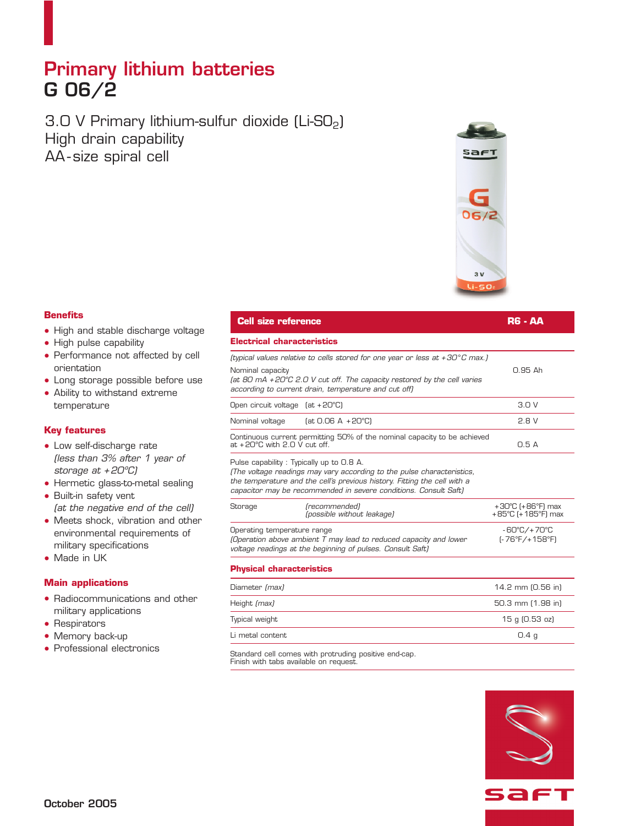# **Primary lithium batteries G 06/2**

3.0 V Primary lithium-sulfur dioxide (Li-SO<sub>2</sub>) High drain capability AA - size spiral cell



### **Benefits**

- High and stable discharge voltage
- High pulse capability
- Performance not affected by cell orientation
- Long storage possible before use
- Ability to withstand extreme temperature

#### **Key features**

- Low self-discharge rate *(less than 3% after 1 year of storage at + 20ºC)*
- Hermetic glass-to-metal sealing
- Built-in safety vent *(at the negative end of the cell)*
- Meets shock, vibration and other environmental requirements of military specifications
- Made in UK

#### **Main applications**

- Radiocommunications and other military applications
- Respirators
- Memory back-up
- Professional electronics

| <b>Cell size reference</b>                                                                                                                                                                                                                                         | <b>RG - AA</b>                                               |
|--------------------------------------------------------------------------------------------------------------------------------------------------------------------------------------------------------------------------------------------------------------------|--------------------------------------------------------------|
| Electrical characteristics                                                                                                                                                                                                                                         |                                                              |
| (typical values relative to cells stored for one year or less at +30 $^{\circ}$ C max.)<br>Nominal capacity<br>(at 80 mA +20°C 2.0 V cut off. The capacity restored by the cell varies<br>according to current drain, temperature and cut off)                     | 0.95 Ah                                                      |
| Open circuit voltage (at +20°C)                                                                                                                                                                                                                                    | 3.0V                                                         |
| Nominal voltage<br>$[at 0.06 A + 20^{\circ}C]$                                                                                                                                                                                                                     | 2.8V                                                         |
| Continuous current permitting 50% of the nominal capacity to be achieved<br>at +20°C with 2.0 V cut off.                                                                                                                                                           | 0.5A                                                         |
| Pulse capability: Typically up to 0.8 A.<br>(The voltage readings may vary according to the pulse characteristics,<br>the temperature and the cell's previous history. Fitting the cell with a<br>capacitor may be recommended in severe conditions. Consult Saft) |                                                              |
| (recommended)<br>Storage<br>(possible without leakage)                                                                                                                                                                                                             | $+30^{\circ}$ C (+86 $^{\circ}$ F) max<br>+85°C (+185°F) max |
| Operating temperature range<br>(Operation above ambient T may lead to reduced capacity and lower<br>voltage readings at the beginning of pulses. Consult Saft)                                                                                                     | -60°C/+70°C<br>$[-76^{\circ}F/+158^{\circ}F]$                |
|                                                                                                                                                                                                                                                                    |                                                              |

#### **Physical characteristics**

 $\overline{a}$ 

| 14.2 mm (0.56 in) |
|-------------------|
| 50.3 mm (1.98 in) |
| 15 g (0.53 oz)    |
| 0.4 <sub>q</sub>  |
|                   |

Standard cell comes with protruding positive end-cap. Finish with tabs available on request.